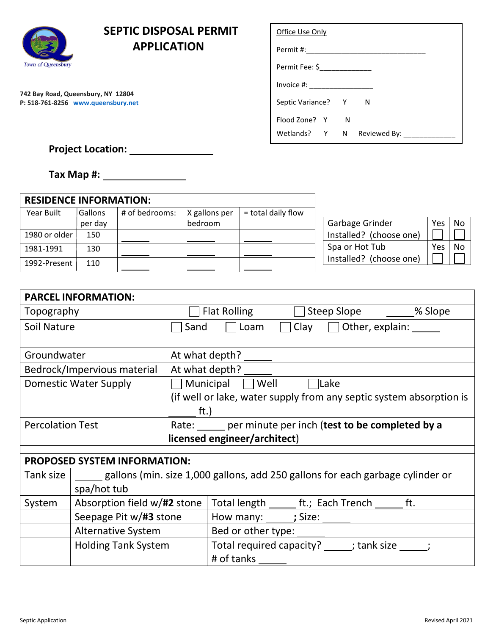

## **SEPTIC DISPOSAL PERMIT APPLICATION**

**742 Bay Road, Queensbury, NY 12804 P: 518-761-8256 www.queensbury.net**

| Office Use Only               |   |   |
|-------------------------------|---|---|
|                               |   |   |
| Permit Fee: \$_______________ |   |   |
| $Invoice #: ____________$     |   |   |
| Septic Variance? Y            |   | N |
| Flood Zone? Y                 | N |   |
| Wetlands? Y N Reviewed By:    |   |   |

## **Project Location:**

**Tax Map #:** 

| <b>RESIDENCE INFORMATION:</b> |         |                |               |                      |                         |          |    |
|-------------------------------|---------|----------------|---------------|----------------------|-------------------------|----------|----|
| Year Built                    | Gallons | # of bedrooms: | X gallons per | $=$ total daily flow |                         |          |    |
|                               | per day |                | bedroom       |                      | Garbage Grinder         | Yes   No |    |
| 1980 or older                 | 150     |                |               |                      | Installed? (choose one) |          |    |
| 1981-1991                     | 130     |                |               |                      | Spa or Hot Tub          | Yes.     | No |
| 1992-Present                  | 110     |                |               |                      | Installed? (choose one) |          |    |

|                             | <b>PARCEL INFORMATION:</b>          |                                                                                |
|-----------------------------|-------------------------------------|--------------------------------------------------------------------------------|
| Topography                  |                                     | Steep Slope _______% Slope<br><b>Flat Rolling</b>                              |
| Soil Nature                 |                                     | $\Box$ Loam $\Box$ Clay $\Box$ Other, explain:<br>Sand                         |
|                             |                                     |                                                                                |
| Groundwater                 |                                     | At what depth? ______                                                          |
| Bedrock/Impervious material |                                     | At what depth?                                                                 |
|                             | Domestic Water Supply               | Municipal Well Clake                                                           |
|                             |                                     | (if well or lake, water supply from any septic system absorption is            |
|                             |                                     | ft.)                                                                           |
| <b>Percolation Test</b>     |                                     | Rate: per minute per inch (test to be completed by a                           |
|                             |                                     | licensed engineer/architect)                                                   |
|                             |                                     |                                                                                |
|                             | <b>PROPOSED SYSTEM INFORMATION:</b> |                                                                                |
| Tank size                   |                                     | gallons (min. size 1,000 gallons, add 250 gallons for each garbage cylinder or |
|                             | spa/hot tub                         |                                                                                |
| System                      | Absorption field w/#2 stone         | Total length ________ ft.; Each Trench _______ ft.                             |
|                             | Seepage Pit w/#3 stone              |                                                                                |
|                             | Alternative System                  |                                                                                |
|                             | <b>Holding Tank System</b>          | Total required capacity? _____; tank size _____;                               |
|                             |                                     | # of tanks                                                                     |